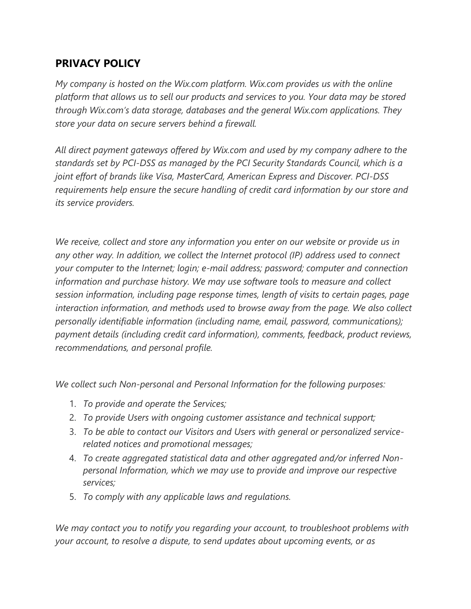## **PRIVACY POLICY**

*My company is hosted on the Wix.com platform. Wix.com provides us with the online platform that allows us to sell our products and services to you. Your data may be stored through Wix.com's data storage, databases and the general Wix.com applications. They store your data on secure servers behind a firewall.*

*All direct payment gateways offered by Wix.com and used by my company adhere to the standards set by PCI-DSS as managed by the PCI Security Standards Council, which is a joint effort of brands like Visa, MasterCard, American Express and Discover. PCI-DSS requirements help ensure the secure handling of credit card information by our store and its service providers.*

*We receive, collect and store any information you enter on our website or provide us in any other way. In addition, we collect the Internet protocol (IP) address used to connect your computer to the Internet; login; e-mail address; password; computer and connection information and purchase history. We may use software tools to measure and collect session information, including page response times, length of visits to certain pages, page interaction information, and methods used to browse away from the page. We also collect personally identifiable information (including name, email, password, communications); payment details (including credit card information), comments, feedback, product reviews, recommendations, and personal profile.*

*We collect such Non-personal and Personal Information for the following purposes:*

- 1. *To provide and operate the Services;*
- 2. *To provide Users with ongoing customer assistance and technical support;*
- 3. *To be able to contact our Visitors and Users with general or personalized servicerelated notices and promotional messages;*
- 4. *To create aggregated statistical data and other aggregated and/or inferred Nonpersonal Information, which we may use to provide and improve our respective services;*
- 5. *To comply with any applicable laws and regulations.*

*We may contact you to notify you regarding your account, to troubleshoot problems with your account, to resolve a dispute, to send updates about upcoming events, or as*